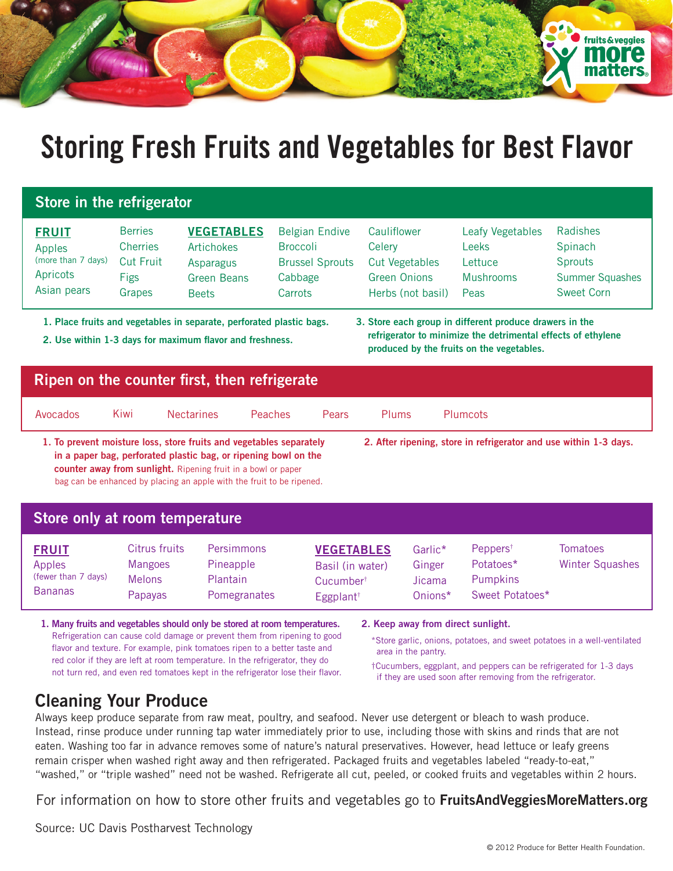

# **Storing Fresh Fruits and Vegetables for Best Flavor**

### **Store in the refrigerator**

| <b>FRUIT</b>       | <b>Berries</b>   | <b>VEGETABLES</b>  | <b>Belgian Endive</b>  | Cauliflower         | Leafy Vegetables | Radishes               |
|--------------------|------------------|--------------------|------------------------|---------------------|------------------|------------------------|
| Apples             | <b>Cherries</b>  | Artichokes         | <b>Broccoli</b>        | Celery              | Leeks            | Spinach                |
| (more than 7 days) | <b>Cut Fruit</b> | Asparagus          | <b>Brussel Sprouts</b> | Cut Vegetables      | Lettuce          | Sprouts                |
| Apricots           | <b>Figs</b>      | <b>Green Beans</b> | Cabbage                | <b>Green Onions</b> | Mushrooms        | <b>Summer Squashes</b> |
| Asian pears        | Grapes           | <b>Beets</b>       | Carrots                | Herbs (not basil)   | Peas             | <b>Sweet Corn</b>      |

**1. Place fruits and vegetables in separate, perforated plastic bags.**

**2. Use within 1-3 days for maximum flavor and freshness.**

**3. Store each group in different produce drawers in the refrigerator to minimize the detrimental effects of ethylene produced by the fruits on the vegetables.**

#### **Ripen on the counter first, then refrigerate** Avocados Kiwi Nectarines Peaches Pears Plums Plumcots **2. After ripening, store in refrigerator and use within 1-3 days.**

**1. To prevent moisture loss, store fruits and vegetables separately in a paper bag, perforated plastic bag, or ripening bowl on the counter away from sunlight.** Ripening fruit in a bowl or paper bag can be enhanced by placing an apple with the fruit to be ripened.

#### **Store only at room temperature**

| <b>FRUIT</b><br>Apples<br>(fewer than 7 days) | Citrus fruits<br>Mangoes<br><b>Melons</b> | <b>Persimmons</b><br>Pineapple<br><b>Plantain</b> | <b>VEGETABLES</b><br>Basil (in water)<br>Cucumber <sup>†</sup> | Garlic*<br>Ginger<br>Jicama | Peppers <sup><math>†</math></sup><br>Potatoes*<br><b>Pumpkins</b> | Tomatoes<br>Winter Squashes |
|-----------------------------------------------|-------------------------------------------|---------------------------------------------------|----------------------------------------------------------------|-----------------------------|-------------------------------------------------------------------|-----------------------------|
| <b>Bananas</b>                                | <b>Papayas</b>                            | Pomegranates                                      | Eggplant <sup>†</sup>                                          | Onions*                     | Sweet Potatoes*                                                   |                             |

**1. Many fruits and vegetables should only be stored at room temperatures.** Refrigeration can cause cold damage or prevent them from ripening to good flavor and texture. For example, pink tomatoes ripen to a better taste and red color if they are left at room temperature. In the refrigerator, they do not turn red, and even red tomatoes kept in the refrigerator lose their flavor. **2. Keep away from direct sunlight.**

\*Store garlic, onions, potatoes, and sweet potatoes in a well-ventilated area in the pantry.

†Cucumbers, eggplant, and peppers can be refrigerated for 1-3 days if they are used soon after removing from the refrigerator.

## **Cleaning Your Produce**

Always keep produce separate from raw meat, poultry, and seafood. Never use detergent or bleach to wash produce. Instead, rinse produce under running tap water immediately prior to use, including those with skins and rinds that are not eaten. Washing too far in advance removes some of nature's natural preservatives. However, head lettuce or leafy greens remain crisper when washed right away and then refrigerated. Packaged fruits and vegetables labeled "ready-to-eat," "washed," or "triple washed" need not be washed. Refrigerate all cut, peeled, or cooked fruits and vegetables within 2 hours.

For information on how to store other fruits and vegetables go to **FruitsAndVeggiesMoreMatters.org**

Source: UC Davis Postharvest Technology